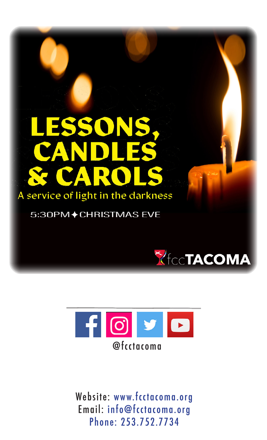# LESSONS.<br>CANDLES **Y CAROL** A service of light in the darkness

5:30PM◆CHRISTMAS EVE





Website: www.fcctacoma.org Email: info@fcctacoma.org Phone: 253.752.7734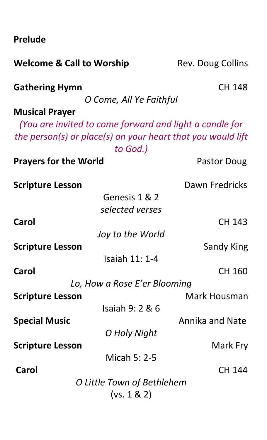**Prelude** 

| <b>Welcome &amp; Call to Worship</b>                                             | Rev. Doug Collins |
|----------------------------------------------------------------------------------|-------------------|
| <b>Gathering Hymn</b>                                                            | <b>CH 148</b>     |
| O Come, All Ye Faithful                                                          |                   |
| <b>Musical Prayer</b><br>(You are invited to come forward and light a candle for |                   |
| the person(s) or place(s) on your heart that you would lift<br>to God.)          |                   |
| <b>Prayers for the World</b>                                                     | Pastor Doug       |
| <b>Scripture Lesson</b>                                                          | Dawn Fredricks    |
| Genesis 1 & 2                                                                    |                   |
| selected verses                                                                  |                   |
| Carol                                                                            | CH 143            |
| Joy to the World                                                                 |                   |
| <b>Scripture Lesson</b>                                                          | Sandy King        |
| Isaiah 11: 1-4                                                                   |                   |
| Carol                                                                            | CH 160            |
| Lo, How a Rose E'er Blooming                                                     |                   |
| <b>Scripture Lesson</b>                                                          | Mark Housman      |
| Isaiah 9: 2 & 6                                                                  |                   |
| <b>Special Music</b>                                                             | Annika and Nate   |
| O Holy Night                                                                     |                   |
| <b>Scripture Lesson</b>                                                          | Mark Fry          |
| Micah 5: 2-5                                                                     |                   |
| Carol                                                                            | CH 144            |
| O Little Town of Bethlehem                                                       |                   |
| (vs. 1 & 2)                                                                      |                   |
|                                                                                  |                   |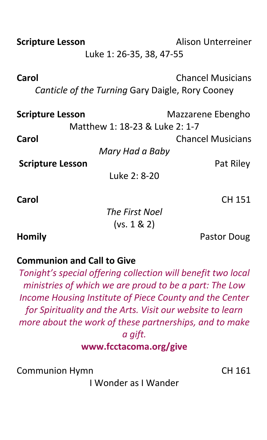| <b>Scripture Lesson</b>                                   | Alison Unterreiner       |  |
|-----------------------------------------------------------|--------------------------|--|
| Luke 1: 26-35, 38, 47-55                                  |                          |  |
| Carol<br>Canticle of the Turning Gary Daigle, Rory Cooney | <b>Chancel Musicians</b> |  |
| <b>Scripture Lesson</b>                                   | Mazzarene Ebengho        |  |
| Matthew 1: 18-23 & Luke 2: 1-7                            |                          |  |
| Carol                                                     | <b>Chancel Musicians</b> |  |
| Mary Had a Baby                                           |                          |  |
| <b>Scripture Lesson</b>                                   | Pat Riley                |  |
| Luke 2: 8-20                                              |                          |  |
| Carol                                                     | CH 151                   |  |
| The First Noel                                            |                          |  |
| (vs. 1 & 2)                                               |                          |  |

**Homily Pastor Doug** 

## **Communion and Call to Give**

*Tonight's special offering collection will benefit two local ministries of which we are proud to be a part: The Low Income Housing Institute of Piece County and the Center for Spirituality and the Arts. Visit our website to learn more about the work of these partnerships, and to make a gift.* **www.fcctacoma.org/give**

Communion Hymn CH 161

I Wonder as I Wander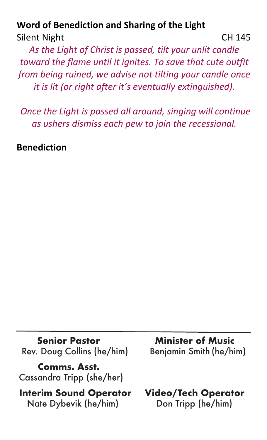## **Word of Benediction and Sharing of the Light** Silent Night CH 145

*As the Light of Christ is passed, tilt your unlit candle toward the flame until it ignites. To save that cute outfit from being ruined, we advise not tilting your candle once it is lit (or right after it's eventually extinguished).*

*Once the Light is passed all around, singing will continue as ushers dismiss each pew to join the recessional.*

**Benediction** 

Rev. Doug Collins (he/him)

 **Comms. Asst.**  Cassandra Tripp (she/her)

 **Interim Sound Operator Video/Tech Operator** Nate Dybevik (he/him) Don Tripp (he/him)

**Senior Pastor Minister of Music<br>Doug Collins (he/him)** Benjamin Smith (he/him)